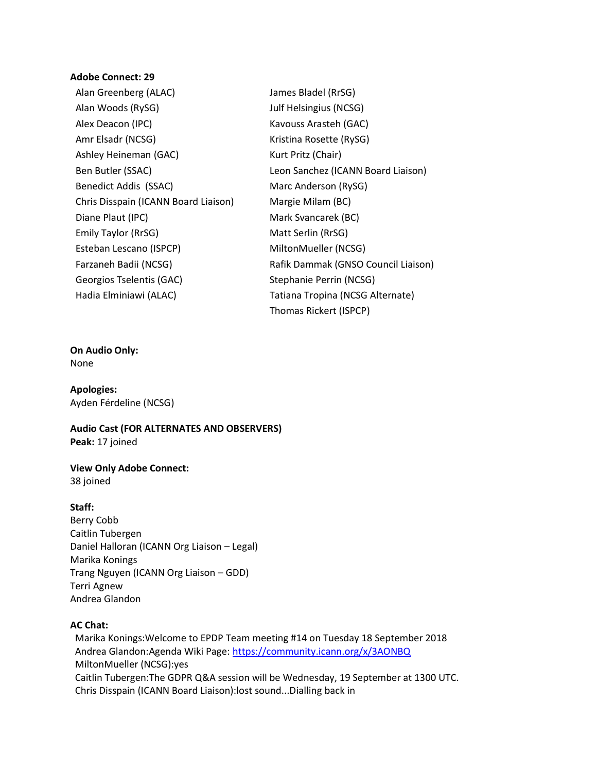## **Adobe Connect: 29**

Alan Greenberg (ALAC) James Bladel (RrSG) Alan Woods (RySG) Julf Helsingius (NCSG) Alex Deacon (IPC) Kavouss Arasteh (GAC) Amr Elsadr (NCSG) Kristina Rosette (RySG) Ashley Heineman (GAC) Kurt Pritz (Chair) Ben Butler (SSAC) Leon Sanchez (ICANN Board Liaison) Benedict Addis (SSAC) Marc Anderson (RySG) Chris Disspain (ICANN Board Liaison) Margie Milam (BC) Diane Plaut (IPC) Mark Svancarek (BC) Emily Taylor (RrSG) Matt Serlin (RrSG) Esteban Lescano (ISPCP) MiltonMueller (NCSG) Farzaneh Badii (NCSG) Rafik Dammak (GNSO Council Liaison) Georgios Tselentis (GAC) Stephanie Perrin (NCSG) Hadia Elminiawi (ALAC) Tatiana Tropina (NCSG Alternate) Thomas Rickert (ISPCP)

## **On Audio Only:**

None

**Apologies:** Ayden Férdeline (NCSG)

**Audio Cast (FOR ALTERNATES AND OBSERVERS) Peak:** 17 joined

**View Only Adobe Connect:** 38 joined

## **Staff:**

Berry Cobb Caitlin Tubergen Daniel Halloran (ICANN Org Liaison – Legal) Marika Konings Trang Nguyen (ICANN Org Liaison – GDD) Terri Agnew Andrea Glandon

## **AC Chat:**

 Marika Konings:Welcome to EPDP Team meeting #14 on Tuesday 18 September 2018 Andrea Glandon:Agenda Wiki Page: <https://community.icann.org/x/3AONBQ> MiltonMueller (NCSG):yes Caitlin Tubergen:The GDPR Q&A session will be Wednesday, 19 September at 1300 UTC. Chris Disspain (ICANN Board Liaison):lost sound...Dialling back in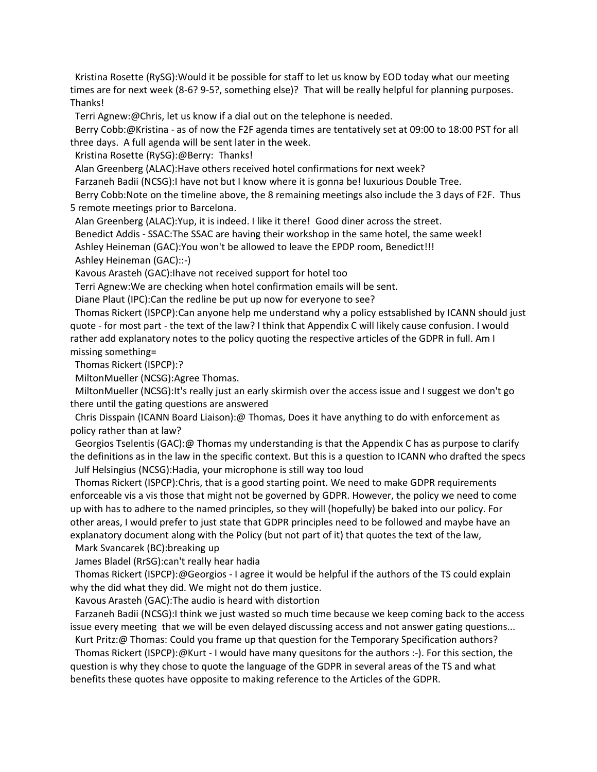Kristina Rosette (RySG):Would it be possible for staff to let us know by EOD today what our meeting times are for next week (8-6? 9-5?, something else)? That will be really helpful for planning purposes. Thanks!

Terri Agnew:@Chris, let us know if a dial out on the telephone is needed.

 Berry Cobb:@Kristina - as of now the F2F agenda times are tentatively set at 09:00 to 18:00 PST for all three days. A full agenda will be sent later in the week.

Kristina Rosette (RySG):@Berry: Thanks!

Alan Greenberg (ALAC):Have others received hotel confirmations for next week?

Farzaneh Badii (NCSG): I have not but I know where it is gonna be! luxurious Double Tree.

 Berry Cobb:Note on the timeline above, the 8 remaining meetings also include the 3 days of F2F. Thus 5 remote meetings prior to Barcelona.

Alan Greenberg (ALAC):Yup, it is indeed. I like it there! Good diner across the street.

Benedict Addis - SSAC:The SSAC are having their workshop in the same hotel, the same week!

Ashley Heineman (GAC):You won't be allowed to leave the EPDP room, Benedict!!!

Ashley Heineman (GAC)::-)

Kavous Arasteh (GAC):Ihave not received support for hotel too

Terri Agnew:We are checking when hotel confirmation emails will be sent.

Diane Plaut (IPC):Can the redline be put up now for everyone to see?

 Thomas Rickert (ISPCP):Can anyone help me understand why a policy estsablished by ICANN should just quote - for most part - the text of the law? I think that Appendix C will likely cause confusion. I would rather add explanatory notes to the policy quoting the respective articles of the GDPR in full. Am I missing something=

Thomas Rickert (ISPCP):?

MiltonMueller (NCSG):Agree Thomas.

 MiltonMueller (NCSG):It's really just an early skirmish over the access issue and I suggest we don't go there until the gating questions are answered

 Chris Disspain (ICANN Board Liaison):@ Thomas, Does it have anything to do with enforcement as policy rather than at law?

 Georgios Tselentis (GAC):@ Thomas my understanding is that the Appendix C has as purpose to clarify the definitions as in the law in the specific context. But this is a question to ICANN who drafted the specs Julf Helsingius (NCSG):Hadia, your microphone is still way too loud

 Thomas Rickert (ISPCP):Chris, that is a good starting point. We need to make GDPR requirements enforceable vis a vis those that might not be governed by GDPR. However, the policy we need to come up with has to adhere to the named principles, so they will (hopefully) be baked into our policy. For other areas, I would prefer to just state that GDPR principles need to be followed and maybe have an explanatory document along with the Policy (but not part of it) that quotes the text of the law,

Mark Svancarek (BC):breaking up

James Bladel (RrSG):can't really hear hadia

 Thomas Rickert (ISPCP):@Georgios - I agree it would be helpful if the authors of the TS could explain why the did what they did. We might not do them justice.

Kavous Arasteh (GAC):The audio is heard with distortion

 Farzaneh Badii (NCSG):I think we just wasted so much time because we keep coming back to the access issue every meeting that we will be even delayed discussing access and not answer gating questions...

 Kurt Pritz:@ Thomas: Could you frame up that question for the Temporary Specification authors? Thomas Rickert (ISPCP):@Kurt - I would have many quesitons for the authors :-). For this section, the question is why they chose to quote the language of the GDPR in several areas of the TS and what benefits these quotes have opposite to making reference to the Articles of the GDPR.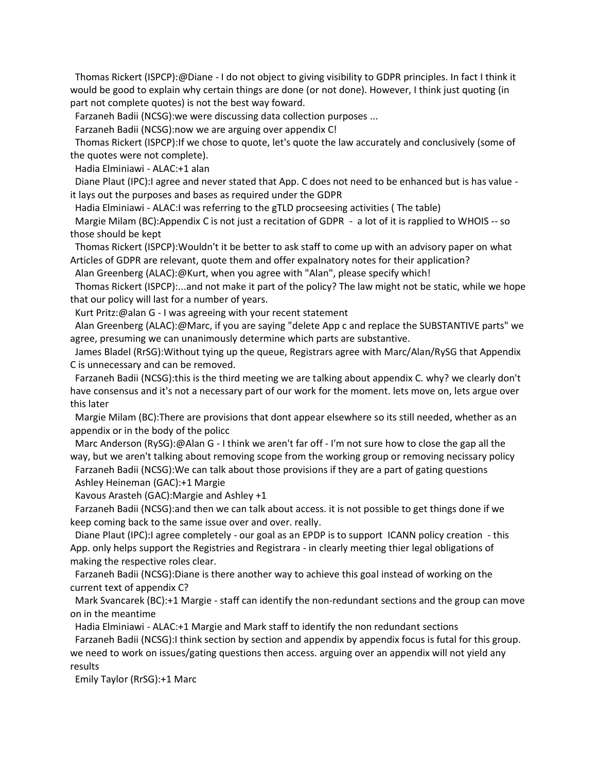Thomas Rickert (ISPCP):@Diane - I do not object to giving visibility to GDPR principles. In fact I think it would be good to explain why certain things are done (or not done). However, I think just quoting (in part not complete quotes) is not the best way foward.

Farzaneh Badii (NCSG):we were discussing data collection purposes ...

Farzaneh Badii (NCSG):now we are arguing over appendix C!

 Thomas Rickert (ISPCP):If we chose to quote, let's quote the law accurately and conclusively (some of the quotes were not complete).

Hadia Elminiawi - ALAC:+1 alan

 Diane Plaut (IPC):I agree and never stated that App. C does not need to be enhanced but is has value it lays out the purposes and bases as required under the GDPR

Hadia Elminiawi - ALAC:I was referring to the gTLD procseesing activities ( The table)

 Margie Milam (BC):Appendix C is not just a recitation of GDPR - a lot of it is rapplied to WHOIS -- so those should be kept

 Thomas Rickert (ISPCP):Wouldn't it be better to ask staff to come up with an advisory paper on what Articles of GDPR are relevant, quote them and offer expalnatory notes for their application?

Alan Greenberg (ALAC):@Kurt, when you agree with "Alan", please specify which!

 Thomas Rickert (ISPCP):...and not make it part of the policy? The law might not be static, while we hope that our policy will last for a number of years.

Kurt Pritz:@alan G - I was agreeing with your recent statement

 Alan Greenberg (ALAC):@Marc, if you are saying "delete App c and replace the SUBSTANTIVE parts" we agree, presuming we can unanimously determine which parts are substantive.

 James Bladel (RrSG):Without tying up the queue, Registrars agree with Marc/Alan/RySG that Appendix C is unnecessary and can be removed.

 Farzaneh Badii (NCSG):this is the third meeting we are talking about appendix C. why? we clearly don't have consensus and it's not a necessary part of our work for the moment. lets move on, lets argue over this later

 Margie Milam (BC):There are provisions that dont appear elsewhere so its still needed, whether as an appendix or in the body of the policc

 Marc Anderson (RySG):@Alan G - I think we aren't far off - I'm not sure how to close the gap all the way, but we aren't talking about removing scope from the working group or removing necissary policy

 Farzaneh Badii (NCSG):We can talk about those provisions if they are a part of gating questions Ashley Heineman (GAC):+1 Margie

Kavous Arasteh (GAC):Margie and Ashley +1

 Farzaneh Badii (NCSG):and then we can talk about access. it is not possible to get things done if we keep coming back to the same issue over and over. really.

 Diane Plaut (IPC):I agree completely - our goal as an EPDP is to support ICANN policy creation - this App. only helps support the Registries and Registrara - in clearly meeting thier legal obligations of making the respective roles clear.

 Farzaneh Badii (NCSG):Diane is there another way to achieve this goal instead of working on the current text of appendix C?

 Mark Svancarek (BC):+1 Margie - staff can identify the non-redundant sections and the group can move on in the meantime

Hadia Elminiawi - ALAC:+1 Margie and Mark staff to identify the non redundant sections

 Farzaneh Badii (NCSG):I think section by section and appendix by appendix focus is futal for this group. we need to work on issues/gating questions then access. arguing over an appendix will not yield any results

Emily Taylor (RrSG):+1 Marc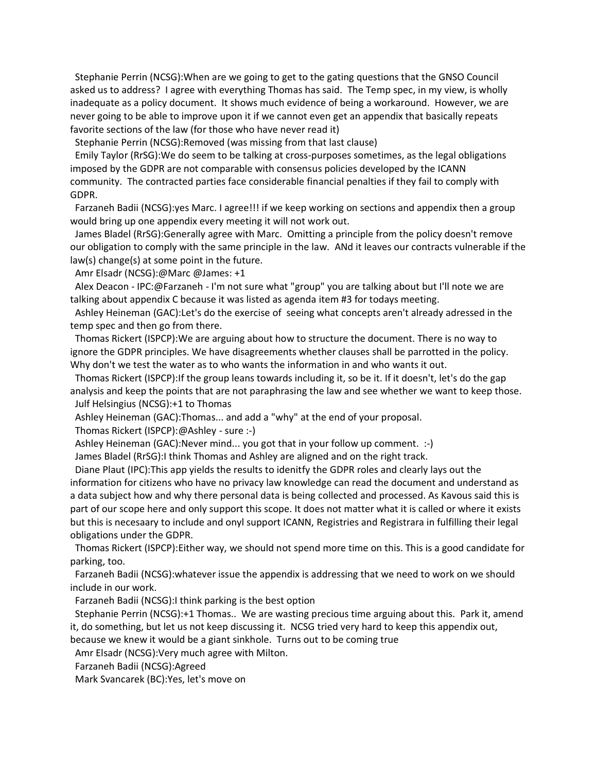Stephanie Perrin (NCSG):When are we going to get to the gating questions that the GNSO Council asked us to address? I agree with everything Thomas has said. The Temp spec, in my view, is wholly inadequate as a policy document. It shows much evidence of being a workaround. However, we are never going to be able to improve upon it if we cannot even get an appendix that basically repeats favorite sections of the law (for those who have never read it)

Stephanie Perrin (NCSG):Removed (was missing from that last clause)

 Emily Taylor (RrSG):We do seem to be talking at cross-purposes sometimes, as the legal obligations imposed by the GDPR are not comparable with consensus policies developed by the ICANN community. The contracted parties face considerable financial penalties if they fail to comply with GDPR.

Farzaneh Badii (NCSG):yes Marc. I agree!!! if we keep working on sections and appendix then a group would bring up one appendix every meeting it will not work out.

 James Bladel (RrSG):Generally agree with Marc. Omitting a principle from the policy doesn't remove our obligation to comply with the same principle in the law. ANd it leaves our contracts vulnerable if the law(s) change(s) at some point in the future.

Amr Elsadr (NCSG):@Marc @James: +1

 Alex Deacon - IPC:@Farzaneh - I'm not sure what "group" you are talking about but I'll note we are talking about appendix C because it was listed as agenda item #3 for todays meeting.

 Ashley Heineman (GAC):Let's do the exercise of seeing what concepts aren't already adressed in the temp spec and then go from there.

 Thomas Rickert (ISPCP):We are arguing about how to structure the document. There is no way to ignore the GDPR principles. We have disagreements whether clauses shall be parrotted in the policy. Why don't we test the water as to who wants the information in and who wants it out.

 Thomas Rickert (ISPCP):If the group leans towards including it, so be it. If it doesn't, let's do the gap analysis and keep the points that are not paraphrasing the law and see whether we want to keep those. Julf Helsingius (NCSG):+1 to Thomas

Ashley Heineman (GAC):Thomas... and add a "why" at the end of your proposal.

Thomas Rickert (ISPCP):@Ashley - sure :-)

Ashley Heineman (GAC):Never mind... you got that in your follow up comment. :-)

James Bladel (RrSG):I think Thomas and Ashley are aligned and on the right track.

 Diane Plaut (IPC):This app yields the results to idenitfy the GDPR roles and clearly lays out the information for citizens who have no privacy law knowledge can read the document and understand as a data subject how and why there personal data is being collected and processed. As Kavous said this is part of our scope here and only support this scope. It does not matter what it is called or where it exists but this is necesaary to include and onyl support ICANN, Registries and Registrara in fulfilling their legal obligations under the GDPR.

 Thomas Rickert (ISPCP):Either way, we should not spend more time on this. This is a good candidate for parking, too.

 Farzaneh Badii (NCSG):whatever issue the appendix is addressing that we need to work on we should include in our work.

Farzaneh Badii (NCSG):I think parking is the best option

 Stephanie Perrin (NCSG):+1 Thomas.. We are wasting precious time arguing about this. Park it, amend it, do something, but let us not keep discussing it. NCSG tried very hard to keep this appendix out, because we knew it would be a giant sinkhole. Turns out to be coming true

Amr Elsadr (NCSG):Very much agree with Milton.

Farzaneh Badii (NCSG):Agreed

Mark Svancarek (BC):Yes, let's move on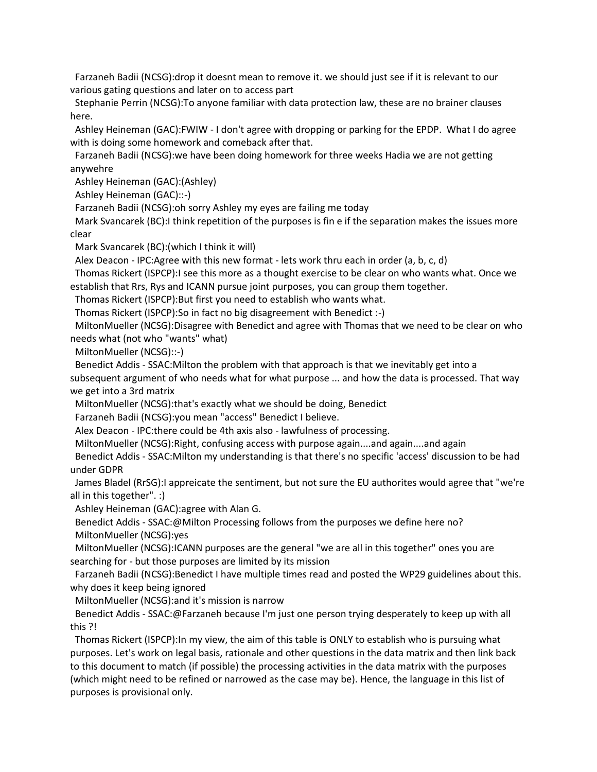Farzaneh Badii (NCSG):drop it doesnt mean to remove it. we should just see if it is relevant to our various gating questions and later on to access part

 Stephanie Perrin (NCSG):To anyone familiar with data protection law, these are no brainer clauses here.

 Ashley Heineman (GAC):FWIW - I don't agree with dropping or parking for the EPDP. What I do agree with is doing some homework and comeback after that.

 Farzaneh Badii (NCSG):we have been doing homework for three weeks Hadia we are not getting anywehre

Ashley Heineman (GAC):(Ashley)

Ashley Heineman (GAC)::-)

Farzaneh Badii (NCSG):oh sorry Ashley my eyes are failing me today

 Mark Svancarek (BC):I think repetition of the purposes is fin e if the separation makes the issues more clear

Mark Svancarek (BC):(which I think it will)

Alex Deacon - IPC:Agree with this new format - lets work thru each in order (a, b, c, d)

 Thomas Rickert (ISPCP):I see this more as a thought exercise to be clear on who wants what. Once we establish that Rrs, Rys and ICANN pursue joint purposes, you can group them together.

Thomas Rickert (ISPCP):But first you need to establish who wants what.

Thomas Rickert (ISPCP):So in fact no big disagreement with Benedict :-)

 MiltonMueller (NCSG):Disagree with Benedict and agree with Thomas that we need to be clear on who needs what (not who "wants" what)

MiltonMueller (NCSG)::-)

Benedict Addis - SSAC:Milton the problem with that approach is that we inevitably get into a

subsequent argument of who needs what for what purpose ... and how the data is processed. That way we get into a 3rd matrix

MiltonMueller (NCSG):that's exactly what we should be doing, Benedict

Farzaneh Badii (NCSG):you mean "access" Benedict I believe.

Alex Deacon - IPC:there could be 4th axis also - lawfulness of processing.

MiltonMueller (NCSG):Right, confusing access with purpose again....and again....and again

 Benedict Addis - SSAC:Milton my understanding is that there's no specific 'access' discussion to be had under GDPR

 James Bladel (RrSG):I appreicate the sentiment, but not sure the EU authorites would agree that "we're all in this together". :)

Ashley Heineman (GAC):agree with Alan G.

 Benedict Addis - SSAC:@Milton Processing follows from the purposes we define here no? MiltonMueller (NCSG):yes

MiltonMueller (NCSG):ICANN purposes are the general "we are all in this together" ones you are searching for - but those purposes are limited by its mission

Farzaneh Badii (NCSG):Benedict I have multiple times read and posted the WP29 guidelines about this. why does it keep being ignored

MiltonMueller (NCSG):and it's mission is narrow

 Benedict Addis - SSAC:@Farzaneh because I'm just one person trying desperately to keep up with all this ?!

 Thomas Rickert (ISPCP):In my view, the aim of this table is ONLY to establish who is pursuing what purposes. Let's work on legal basis, rationale and other questions in the data matrix and then link back to this document to match (if possible) the processing activities in the data matrix with the purposes (which might need to be refined or narrowed as the case may be). Hence, the language in this list of purposes is provisional only.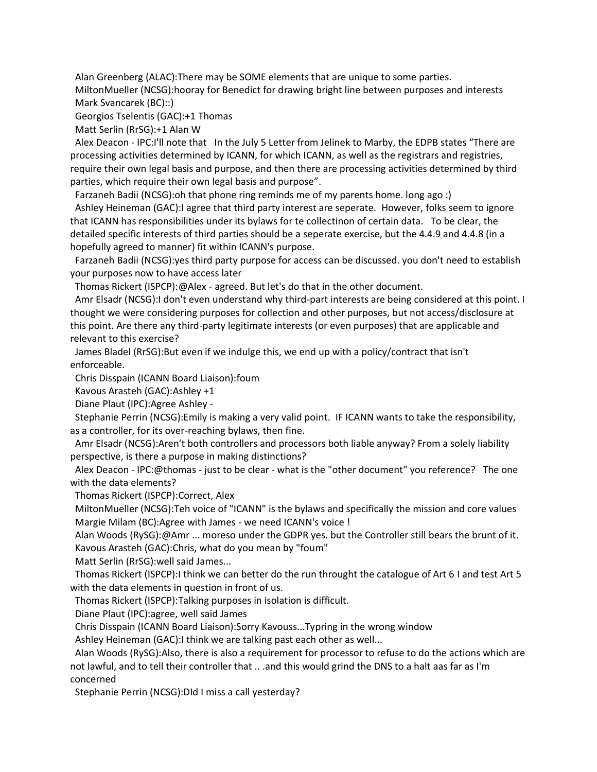Alan Greenberg (ALAC):There may be SOME elements that are unique to some parties.

 MiltonMueller (NCSG):hooray for Benedict for drawing bright line between purposes and interests Mark Svancarek (BC)::)

Georgios Tselentis (GAC):+1 Thomas

Matt Serlin (RrSG):+1 Alan W

 Alex Deacon - IPC:I'll note that In the July 5 Letter from Jelinek to Marby, the EDPB states "There are processing activities determined by ICANN, for which ICANN, as well as the registrars and registries, require their own legal basis and purpose, and then there are processing activities determined by third parties, which require their own legal basis and purpose".

Farzaneh Badii (NCSG):oh that phone ring reminds me of my parents home. long ago :)

 Ashley Heineman (GAC):I agree that third party interest are seperate. However, folks seem to ignore that ICANN has responsibilities under its bylaws for te collectinon of certain data. To be clear, the detailed specific interests of third parties should be a seperate exercise, but the 4.4.9 and 4.4.8 (in a hopefully agreed to manner) fit within ICANN's purpose.

 Farzaneh Badii (NCSG):yes third party purpose for access can be discussed. you don't need to establish your purposes now to have access later

Thomas Rickert (ISPCP):@Alex - agreed. But let's do that in the other document.

 Amr Elsadr (NCSG):I don't even understand why third-part interests are being considered at this point. I thought we were considering purposes for collection and other purposes, but not access/disclosure at this point. Are there any third-party legitimate interests (or even purposes) that are applicable and relevant to this exercise?

 James Bladel (RrSG):But even if we indulge this, we end up with a policy/contract that isn't enforceable.

Chris Disspain (ICANN Board Liaison):foum

Kavous Arasteh (GAC):Ashley +1

Diane Plaut (IPC):Agree Ashley -

 Stephanie Perrin (NCSG):Emily is making a very valid point. IF ICANN wants to take the responsibility, as a controller, for its over-reaching bylaws, then fine.

 Amr Elsadr (NCSG):Aren't both controllers and processors both liable anyway? From a solely liability perspective, is there a purpose in making distinctions?

 Alex Deacon - IPC:@thomas - just to be clear - what is the "other document" you reference? The one with the data elements?

Thomas Rickert (ISPCP):Correct, Alex

 MiltonMueller (NCSG):Teh voice of "ICANN" is the bylaws and specifically the mission and core values Margie Milam (BC):Agree with James - we need ICANN's voice !

 Alan Woods (RySG):@Amr ... moreso under the GDPR yes. but the Controller still bears the brunt of it. Kavous Arasteh (GAC):Chris, what do you mean by "foum"

Matt Serlin (RrSG):well said James...

 Thomas Rickert (ISPCP):I think we can better do the run throught the catalogue of Art 6 I and test Art 5 with the data elements in question in front of us.

Thomas Rickert (ISPCP):Talking purposes in isolation is difficult.

Diane Plaut (IPC):agree, well said James

Chris Disspain (ICANN Board Liaison):Sorry Kavouss...Typring in the wrong window

Ashley Heineman (GAC):I think we are talking past each other as well...

 Alan Woods (RySG):Also, there is also a requirement for processor to refuse to do the actions which are not lawful, and to tell their controller that .. .and this would grind the DNS to a halt aas far as I'm concerned

Stephanie Perrin (NCSG):DId I miss a call yesterday?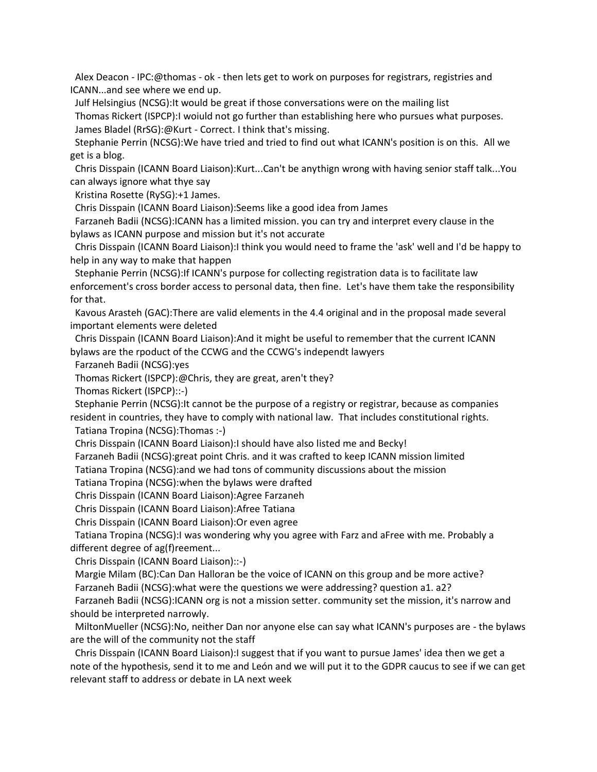Alex Deacon - IPC:@thomas - ok - then lets get to work on purposes for registrars, registries and ICANN...and see where we end up.

Julf Helsingius (NCSG):It would be great if those conversations were on the mailing list

 Thomas Rickert (ISPCP):I woiuld not go further than establishing here who pursues what purposes. James Bladel (RrSG):@Kurt - Correct. I think that's missing.

 Stephanie Perrin (NCSG):We have tried and tried to find out what ICANN's position is on this. All we get is a blog.

 Chris Disspain (ICANN Board Liaison):Kurt...Can't be anythign wrong with having senior staff talk...You can always ignore what thye say

Kristina Rosette (RySG):+1 James.

Chris Disspain (ICANN Board Liaison):Seems like a good idea from James

 Farzaneh Badii (NCSG):ICANN has a limited mission. you can try and interpret every clause in the bylaws as ICANN purpose and mission but it's not accurate

 Chris Disspain (ICANN Board Liaison):I think you would need to frame the 'ask' well and I'd be happy to help in any way to make that happen

 Stephanie Perrin (NCSG):If ICANN's purpose for collecting registration data is to facilitate law enforcement's cross border access to personal data, then fine. Let's have them take the responsibility for that.

 Kavous Arasteh (GAC):There are valid elements in the 4.4 original and in the proposal made several important elements were deleted

 Chris Disspain (ICANN Board Liaison):And it might be useful to remember that the current ICANN bylaws are the rpoduct of the CCWG and the CCWG's independt lawyers

Farzaneh Badii (NCSG):yes

Thomas Rickert (ISPCP):@Chris, they are great, aren't they?

Thomas Rickert (ISPCP)::-)

Stephanie Perrin (NCSG):It cannot be the purpose of a registry or registrar, because as companies resident in countries, they have to comply with national law. That includes constitutional rights.

Tatiana Tropina (NCSG):Thomas :-)

Chris Disspain (ICANN Board Liaison):I should have also listed me and Becky!

Farzaneh Badii (NCSG):great point Chris. and it was crafted to keep ICANN mission limited

Tatiana Tropina (NCSG):and we had tons of community discussions about the mission

Tatiana Tropina (NCSG):when the bylaws were drafted

Chris Disspain (ICANN Board Liaison):Agree Farzaneh

Chris Disspain (ICANN Board Liaison):Afree Tatiana

Chris Disspain (ICANN Board Liaison):Or even agree

 Tatiana Tropina (NCSG):I was wondering why you agree with Farz and aFree with me. Probably a different degree of ag(f)reement...

Chris Disspain (ICANN Board Liaison)::-)

 Margie Milam (BC):Can Dan Halloran be the voice of ICANN on this group and be more active? Farzaneh Badii (NCSG):what were the questions we were addressing? question a1. a2?

 Farzaneh Badii (NCSG):ICANN org is not a mission setter. community set the mission, it's narrow and should be interpreted narrowly.

 MiltonMueller (NCSG):No, neither Dan nor anyone else can say what ICANN's purposes are - the bylaws are the will of the community not the staff

 Chris Disspain (ICANN Board Liaison):I suggest that if you want to pursue James' idea then we get a note of the hypothesis, send it to me and León and we will put it to the GDPR caucus to see if we can get relevant staff to address or debate in LA next week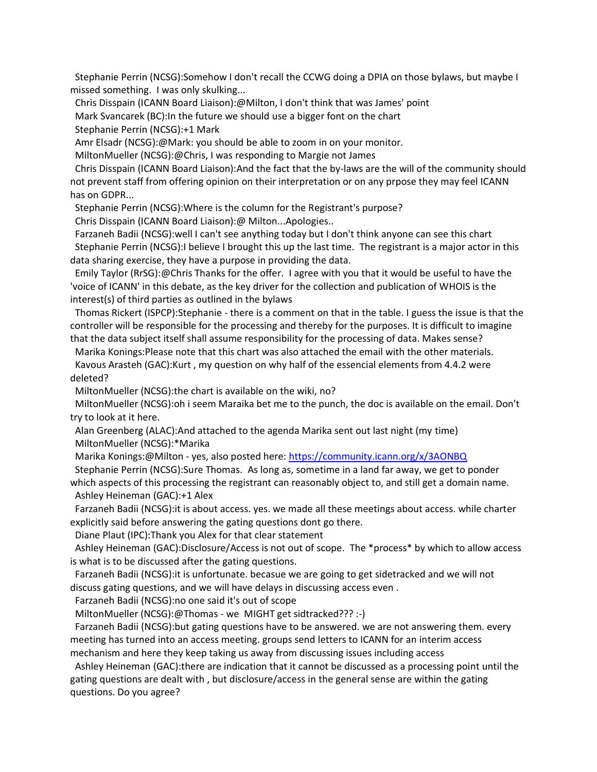Stephanie Perrin (NCSG):Somehow I don't recall the CCWG doing a DPIA on those bylaws, but maybe I missed something. I was only skulking...

 Chris Disspain (ICANN Board Liaison):@Milton, I don't think that was James' point Mark Svancarek (BC):In the future we should use a bigger font on the chart Stephanie Perrin (NCSG):+1 Mark

Amr Elsadr (NCSG):@Mark: you should be able to zoom in on your monitor.

MiltonMueller (NCSG):@Chris, I was responding to Margie not James

 Chris Disspain (ICANN Board Liaison):And the fact that the by-laws are the will of the community should not prevent staff from offering opinion on their interpretation or on any prpose they may feel ICANN has on GDPR...

Stephanie Perrin (NCSG):Where is the column for the Registrant's purpose?

Chris Disspain (ICANN Board Liaison):@ Milton...Apologies..

 Farzaneh Badii (NCSG):well I can't see anything today but I don't think anyone can see this chart Stephanie Perrin (NCSG):I believe I brought this up the last time. The registrant is a major actor in this data sharing exercise, they have a purpose in providing the data.

 Emily Taylor (RrSG):@Chris Thanks for the offer. I agree with you that it would be useful to have the 'voice of ICANN' in this debate, as the key driver for the collection and publication of WHOIS is the interest(s) of third parties as outlined in the bylaws

 Thomas Rickert (ISPCP):Stephanie - there is a comment on that in the table. I guess the issue is that the controller will be responsible for the processing and thereby for the purposes. It is difficult to imagine that the data subject itself shall assume responsibility for the processing of data. Makes sense?

 Marika Konings:Please note that this chart was also attached the email with the other materials. Kavous Arasteh (GAC):Kurt , my question on why half of the essencial elements from 4.4.2 were deleted?

MiltonMueller (NCSG):the chart is available on the wiki, no?

 MiltonMueller (NCSG):oh i seem Maraika bet me to the punch, the doc is available on the email. Don't try to look at it here.

 Alan Greenberg (ALAC):And attached to the agenda Marika sent out last night (my time) MiltonMueller (NCSG):\*Marika

Marika Konings:@Milton - yes, also posted here: <https://community.icann.org/x/3AONBQ>

Stephanie Perrin (NCSG):Sure Thomas. As long as, sometime in a land far away, we get to ponder

which aspects of this processing the registrant can reasonably object to, and still get a domain name. Ashley Heineman (GAC):+1 Alex

 Farzaneh Badii (NCSG):it is about access. yes. we made all these meetings about access. while charter explicitly said before answering the gating questions dont go there.

Diane Plaut (IPC):Thank you Alex for that clear statement

 Ashley Heineman (GAC):Disclosure/Access is not out of scope. The \*process\* by which to allow access is what is to be discussed after the gating questions.

 Farzaneh Badii (NCSG):it is unfortunate. becasue we are going to get sidetracked and we will not discuss gating questions, and we will have delays in discussing access even .

Farzaneh Badii (NCSG):no one said it's out of scope

MiltonMueller (NCSG):@Thomas - we MIGHT get sidtracked??? :-)

 Farzaneh Badii (NCSG):but gating questions have to be answered. we are not answering them. every meeting has turned into an access meeting. groups send letters to ICANN for an interim access mechanism and here they keep taking us away from discussing issues including access

 Ashley Heineman (GAC):there are indication that it cannot be discussed as a processing point until the gating questions are dealt with , but disclosure/access in the general sense are within the gating questions. Do you agree?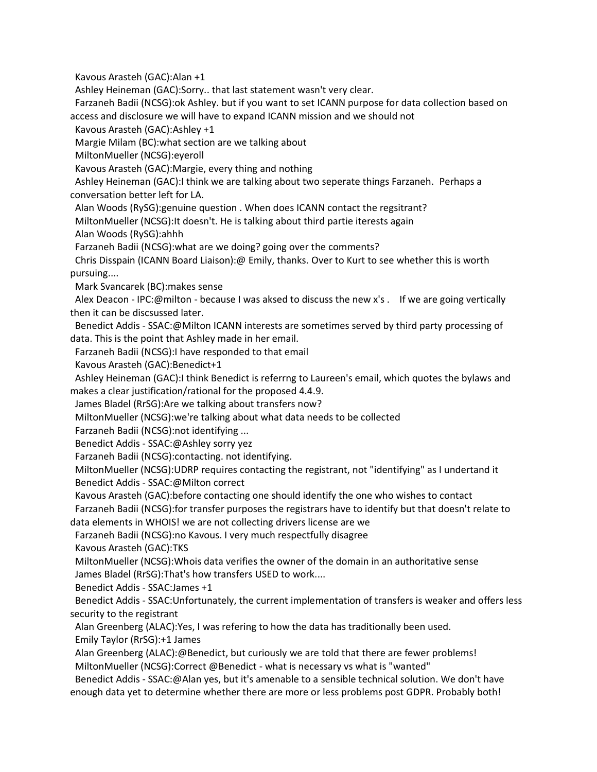Kavous Arasteh (GAC):Alan +1

Ashley Heineman (GAC):Sorry.. that last statement wasn't very clear.

 Farzaneh Badii (NCSG):ok Ashley. but if you want to set ICANN purpose for data collection based on access and disclosure we will have to expand ICANN mission and we should not

Kavous Arasteh (GAC):Ashley +1

Margie Milam (BC):what section are we talking about

MiltonMueller (NCSG):eyeroll

Kavous Arasteh (GAC):Margie, every thing and nothing

 Ashley Heineman (GAC):I think we are talking about two seperate things Farzaneh. Perhaps a conversation better left for LA.

Alan Woods (RySG):genuine question . When does ICANN contact the regsitrant?

MiltonMueller (NCSG):It doesn't. He is talking about third partie iterests again

Alan Woods (RySG):ahhh

Farzaneh Badii (NCSG):what are we doing? going over the comments?

 Chris Disspain (ICANN Board Liaison):@ Emily, thanks. Over to Kurt to see whether this is worth pursuing....

Mark Svancarek (BC):makes sense

Alex Deacon - IPC:@milton - because I was aksed to discuss the new x's . If we are going vertically then it can be discsussed later.

 Benedict Addis - SSAC:@Milton ICANN interests are sometimes served by third party processing of data. This is the point that Ashley made in her email.

Farzaneh Badii (NCSG):I have responded to that email

Kavous Arasteh (GAC):Benedict+1

 Ashley Heineman (GAC):I think Benedict is referrng to Laureen's email, which quotes the bylaws and makes a clear justification/rational for the proposed 4.4.9.

James Bladel (RrSG):Are we talking about transfers now?

MiltonMueller (NCSG):we're talking about what data needs to be collected

Farzaneh Badii (NCSG):not identifying ...

Benedict Addis - SSAC:@Ashley sorry yez

Farzaneh Badii (NCSG):contacting. not identifying.

 MiltonMueller (NCSG):UDRP requires contacting the registrant, not "identifying" as I undertand it Benedict Addis - SSAC:@Milton correct

Kavous Arasteh (GAC):before contacting one should identify the one who wishes to contact

 Farzaneh Badii (NCSG):for transfer purposes the registrars have to identify but that doesn't relate to data elements in WHOIS! we are not collecting drivers license are we

Farzaneh Badii (NCSG):no Kavous. I very much respectfully disagree

Kavous Arasteh (GAC):TKS

 MiltonMueller (NCSG):Whois data verifies the owner of the domain in an authoritative sense James Bladel (RrSG):That's how transfers USED to work....

Benedict Addis - SSAC:James +1

 Benedict Addis - SSAC:Unfortunately, the current implementation of transfers is weaker and offers less security to the registrant

Alan Greenberg (ALAC):Yes, I was refering to how the data has traditionally been used.

Emily Taylor (RrSG):+1 James

 Alan Greenberg (ALAC):@Benedict, but curiously we are told that there are fewer problems! MiltonMueller (NCSG):Correct @Benedict - what is necessary vs what is "wanted"

 Benedict Addis - SSAC:@Alan yes, but it's amenable to a sensible technical solution. We don't have enough data yet to determine whether there are more or less problems post GDPR. Probably both!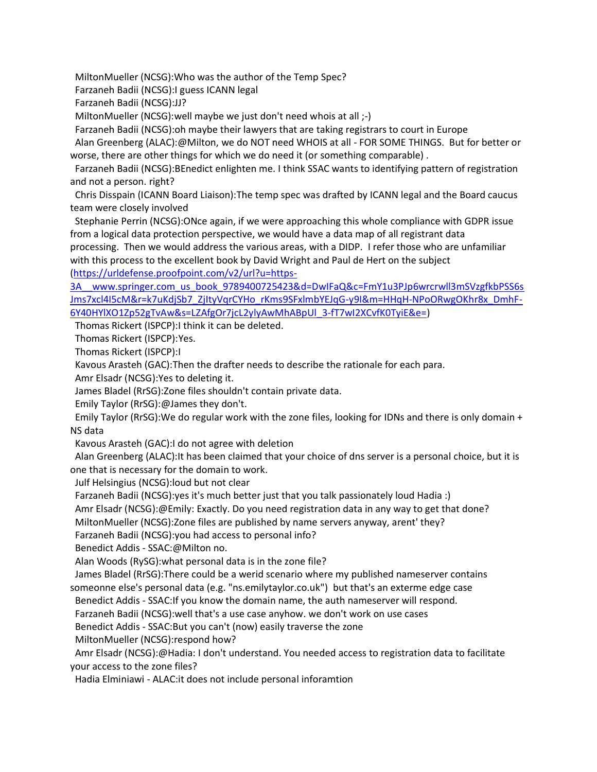MiltonMueller (NCSG):Who was the author of the Temp Spec?

Farzaneh Badii (NCSG):I guess ICANN legal

Farzaneh Badii (NCSG):JJ?

MiltonMueller (NCSG):well maybe we just don't need whois at all ;-)

Farzaneh Badii (NCSG):oh maybe their lawyers that are taking registrars to court in Europe

 Alan Greenberg (ALAC):@Milton, we do NOT need WHOIS at all - FOR SOME THINGS. But for better or worse, there are other things for which we do need it (or something comparable) .

 Farzaneh Badii (NCSG):BEnedict enlighten me. I think SSAC wants to identifying pattern of registration and not a person. right?

 Chris Disspain (ICANN Board Liaison):The temp spec was drafted by ICANN legal and the Board caucus team were closely involved

 Stephanie Perrin (NCSG):ONce again, if we were approaching this whole compliance with GDPR issue from a logical data protection perspective, we would have a data map of all registrant data processing. Then we would address the various areas, with a DIDP. I refer those who are unfamiliar

with this process to the excellent book by David Wright and Paul de Hert on the subject [\(https://urldefense.proofpoint.com/v2/url?u=https-](https://urldefense.proofpoint.com/v2/url?u=https-3A__www.springer.com_us_book_9789400725423&d=DwIFaQ&c=FmY1u3PJp6wrcrwll3mSVzgfkbPSS6sJms7xcl4I5cM&r=k7uKdjSb7_ZjItyVqrCYHo_rKms9SFxlmbYEJqG-y9I&m=HHqH-NPoORwgOKhr8x_DmhF-6Y40HYlXO1Zp52gTvAw&s=LZAfgOr7jcL2ylyAwMhABpUl_3-fT7wI2XCvfK0TyiE&e=)

[3A\\_\\_www.springer.com\\_us\\_book\\_9789400725423&d=DwIFaQ&c=FmY1u3PJp6wrcrwll3mSVzgfkbPSS6s](https://urldefense.proofpoint.com/v2/url?u=https-3A__www.springer.com_us_book_9789400725423&d=DwIFaQ&c=FmY1u3PJp6wrcrwll3mSVzgfkbPSS6sJms7xcl4I5cM&r=k7uKdjSb7_ZjItyVqrCYHo_rKms9SFxlmbYEJqG-y9I&m=HHqH-NPoORwgOKhr8x_DmhF-6Y40HYlXO1Zp52gTvAw&s=LZAfgOr7jcL2ylyAwMhABpUl_3-fT7wI2XCvfK0TyiE&e=) [Jms7xcl4I5cM&r=k7uKdjSb7\\_ZjItyVqrCYHo\\_rKms9SFxlmbYEJqG-y9I&m=HHqH-NPoORwgOKhr8x\\_DmhF-](https://urldefense.proofpoint.com/v2/url?u=https-3A__www.springer.com_us_book_9789400725423&d=DwIFaQ&c=FmY1u3PJp6wrcrwll3mSVzgfkbPSS6sJms7xcl4I5cM&r=k7uKdjSb7_ZjItyVqrCYHo_rKms9SFxlmbYEJqG-y9I&m=HHqH-NPoORwgOKhr8x_DmhF-6Y40HYlXO1Zp52gTvAw&s=LZAfgOr7jcL2ylyAwMhABpUl_3-fT7wI2XCvfK0TyiE&e=)[6Y40HYlXO1Zp52gTvAw&s=LZAfgOr7jcL2ylyAwMhABpUl\\_3-fT7wI2XCvfK0TyiE&e=\)](https://urldefense.proofpoint.com/v2/url?u=https-3A__www.springer.com_us_book_9789400725423&d=DwIFaQ&c=FmY1u3PJp6wrcrwll3mSVzgfkbPSS6sJms7xcl4I5cM&r=k7uKdjSb7_ZjItyVqrCYHo_rKms9SFxlmbYEJqG-y9I&m=HHqH-NPoORwgOKhr8x_DmhF-6Y40HYlXO1Zp52gTvAw&s=LZAfgOr7jcL2ylyAwMhABpUl_3-fT7wI2XCvfK0TyiE&e=)

Thomas Rickert (ISPCP):I think it can be deleted.

Thomas Rickert (ISPCP):Yes.

Thomas Rickert (ISPCP):I

Kavous Arasteh (GAC):Then the drafter needs to describe the rationale for each para.

Amr Elsadr (NCSG):Yes to deleting it.

James Bladel (RrSG):Zone files shouldn't contain private data.

Emily Taylor (RrSG):@James they don't.

 Emily Taylor (RrSG):We do regular work with the zone files, looking for IDNs and there is only domain + NS data

Kavous Arasteh (GAC):I do not agree with deletion

 Alan Greenberg (ALAC):It has been claimed that your choice of dns server is a personal choice, but it is one that is necessary for the domain to work.

Julf Helsingius (NCSG):loud but not clear

Farzaneh Badii (NCSG):yes it's much better just that you talk passionately loud Hadia :)

Amr Elsadr (NCSG):@Emily: Exactly. Do you need registration data in any way to get that done?

MiltonMueller (NCSG):Zone files are published by name servers anyway, arent' they?

Farzaneh Badii (NCSG):you had access to personal info?

Benedict Addis - SSAC:@Milton no.

Alan Woods (RySG):what personal data is in the zone file?

James Bladel (RrSG):There could be a werid scenario where my published nameserver contains

someonne else's personal data (e.g. "ns.emilytaylor.co.uk") but that's an exterme edge case Benedict Addis - SSAC:If you know the domain name, the auth nameserver will respond.

Farzaneh Badii (NCSG):well that's a use case anyhow. we don't work on use cases

Benedict Addis - SSAC:But you can't (now) easily traverse the zone

MiltonMueller (NCSG):respond how?

 Amr Elsadr (NCSG):@Hadia: I don't understand. You needed access to registration data to facilitate your access to the zone files?

Hadia Elminiawi - ALAC:it does not include personal inforamtion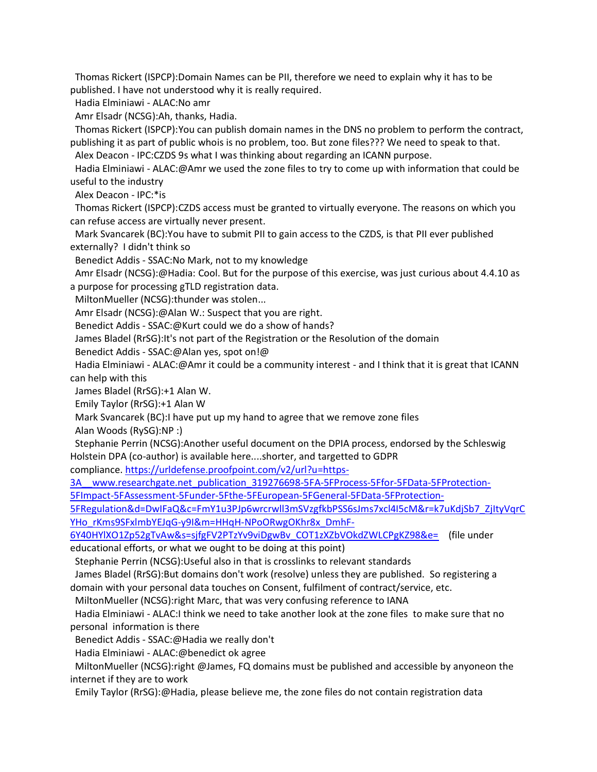Thomas Rickert (ISPCP):Domain Names can be PII, therefore we need to explain why it has to be published. I have not understood why it is really required.

Hadia Elminiawi - ALAC:No amr

Amr Elsadr (NCSG):Ah, thanks, Hadia.

 Thomas Rickert (ISPCP):You can publish domain names in the DNS no problem to perform the contract, publishing it as part of public whois is no problem, too. But zone files??? We need to speak to that.

Alex Deacon - IPC:CZDS 9s what I was thinking about regarding an ICANN purpose.

 Hadia Elminiawi - ALAC:@Amr we used the zone files to try to come up with information that could be useful to the industry

Alex Deacon - IPC:\*is

 Thomas Rickert (ISPCP):CZDS access must be granted to virtually everyone. The reasons on which you can refuse access are virtually never present.

 Mark Svancarek (BC):You have to submit PII to gain access to the CZDS, is that PII ever published externally? I didn't think so

Benedict Addis - SSAC:No Mark, not to my knowledge

 Amr Elsadr (NCSG):@Hadia: Cool. But for the purpose of this exercise, was just curious about 4.4.10 as a purpose for processing gTLD registration data.

MiltonMueller (NCSG):thunder was stolen...

Amr Elsadr (NCSG):@Alan W.: Suspect that you are right.

Benedict Addis - SSAC:@Kurt could we do a show of hands?

James Bladel (RrSG):It's not part of the Registration or the Resolution of the domain

Benedict Addis - SSAC:@Alan yes, spot on!@

 Hadia Elminiawi - ALAC:@Amr it could be a community interest - and I think that it is great that ICANN can help with this

James Bladel (RrSG):+1 Alan W.

Emily Taylor (RrSG):+1 Alan W

Mark Svancarek (BC):I have put up my hand to agree that we remove zone files

Alan Woods (RySG):NP :)

 Stephanie Perrin (NCSG):Another useful document on the DPIA process, endorsed by the Schleswig Holstein DPA (co-author) is available here....shorter, and targetted to GDPR

compliance. [https://urldefense.proofpoint.com/v2/url?u=https-](https://urldefense.proofpoint.com/v2/url?u=https-3A__www.researchgate.net_publication_319276698-5FA-5FProcess-5Ffor-5FData-5FProtection-5FImpact-5FAssessment-5Funder-5Fthe-5FEuropean-5FGeneral-5FData-5FProtection-5FRegulation&d=DwIFaQ&c=FmY1u3PJp6wrcrwll3mSVzgfkbPSS6sJms7xcl4I5cM&r=k7uKdjSb7_ZjItyVqrCYHo_rKms9SFxlmbYEJqG-y9I&m=HHqH-NPoORwgOKhr8x_DmhF-6Y40HYlXO1Zp52gTvAw&s=sjfgFV2PTzYv9viDgwBv_COT1zXZbVOkdZWLCPgKZ98&e=)

[3A\\_\\_www.researchgate.net\\_publication\\_319276698-5FA-5FProcess-5Ffor-5FData-5FProtection-](https://urldefense.proofpoint.com/v2/url?u=https-3A__www.researchgate.net_publication_319276698-5FA-5FProcess-5Ffor-5FData-5FProtection-5FImpact-5FAssessment-5Funder-5Fthe-5FEuropean-5FGeneral-5FData-5FProtection-5FRegulation&d=DwIFaQ&c=FmY1u3PJp6wrcrwll3mSVzgfkbPSS6sJms7xcl4I5cM&r=k7uKdjSb7_ZjItyVqrCYHo_rKms9SFxlmbYEJqG-y9I&m=HHqH-NPoORwgOKhr8x_DmhF-6Y40HYlXO1Zp52gTvAw&s=sjfgFV2PTzYv9viDgwBv_COT1zXZbVOkdZWLCPgKZ98&e=)

[5FImpact-5FAssessment-5Funder-5Fthe-5FEuropean-5FGeneral-5FData-5FProtection-](https://urldefense.proofpoint.com/v2/url?u=https-3A__www.researchgate.net_publication_319276698-5FA-5FProcess-5Ffor-5FData-5FProtection-5FImpact-5FAssessment-5Funder-5Fthe-5FEuropean-5FGeneral-5FData-5FProtection-5FRegulation&d=DwIFaQ&c=FmY1u3PJp6wrcrwll3mSVzgfkbPSS6sJms7xcl4I5cM&r=k7uKdjSb7_ZjItyVqrCYHo_rKms9SFxlmbYEJqG-y9I&m=HHqH-NPoORwgOKhr8x_DmhF-6Y40HYlXO1Zp52gTvAw&s=sjfgFV2PTzYv9viDgwBv_COT1zXZbVOkdZWLCPgKZ98&e=)

[5FRegulation&d=DwIFaQ&c=FmY1u3PJp6wrcrwll3mSVzgfkbPSS6sJms7xcl4I5cM&r=k7uKdjSb7\\_ZjItyVqrC](https://urldefense.proofpoint.com/v2/url?u=https-3A__www.researchgate.net_publication_319276698-5FA-5FProcess-5Ffor-5FData-5FProtection-5FImpact-5FAssessment-5Funder-5Fthe-5FEuropean-5FGeneral-5FData-5FProtection-5FRegulation&d=DwIFaQ&c=FmY1u3PJp6wrcrwll3mSVzgfkbPSS6sJms7xcl4I5cM&r=k7uKdjSb7_ZjItyVqrCYHo_rKms9SFxlmbYEJqG-y9I&m=HHqH-NPoORwgOKhr8x_DmhF-6Y40HYlXO1Zp52gTvAw&s=sjfgFV2PTzYv9viDgwBv_COT1zXZbVOkdZWLCPgKZ98&e=) [YHo\\_rKms9SFxlmbYEJqG-y9I&m=HHqH-NPoORwgOKhr8x\\_DmhF-](https://urldefense.proofpoint.com/v2/url?u=https-3A__www.researchgate.net_publication_319276698-5FA-5FProcess-5Ffor-5FData-5FProtection-5FImpact-5FAssessment-5Funder-5Fthe-5FEuropean-5FGeneral-5FData-5FProtection-5FRegulation&d=DwIFaQ&c=FmY1u3PJp6wrcrwll3mSVzgfkbPSS6sJms7xcl4I5cM&r=k7uKdjSb7_ZjItyVqrCYHo_rKms9SFxlmbYEJqG-y9I&m=HHqH-NPoORwgOKhr8x_DmhF-6Y40HYlXO1Zp52gTvAw&s=sjfgFV2PTzYv9viDgwBv_COT1zXZbVOkdZWLCPgKZ98&e=)

[6Y40HYlXO1Zp52gTvAw&s=sjfgFV2PTzYv9viDgwBv\\_COT1zXZbVOkdZWLCPgKZ98&e=](https://urldefense.proofpoint.com/v2/url?u=https-3A__www.researchgate.net_publication_319276698-5FA-5FProcess-5Ffor-5FData-5FProtection-5FImpact-5FAssessment-5Funder-5Fthe-5FEuropean-5FGeneral-5FData-5FProtection-5FRegulation&d=DwIFaQ&c=FmY1u3PJp6wrcrwll3mSVzgfkbPSS6sJms7xcl4I5cM&r=k7uKdjSb7_ZjItyVqrCYHo_rKms9SFxlmbYEJqG-y9I&m=HHqH-NPoORwgOKhr8x_DmhF-6Y40HYlXO1Zp52gTvAw&s=sjfgFV2PTzYv9viDgwBv_COT1zXZbVOkdZWLCPgKZ98&e=) (file under educational efforts, or what we ought to be doing at this point)

Stephanie Perrin (NCSG):Useful also in that is crosslinks to relevant standards

 James Bladel (RrSG):But domains don't work (resolve) unless they are published. So registering a domain with your personal data touches on Consent, fulfilment of contract/service, etc.

MiltonMueller (NCSG):right Marc, that was very confusing reference to IANA

 Hadia Elminiawi - ALAC:I think we need to take another look at the zone files to make sure that no personal information is there

Benedict Addis - SSAC:@Hadia we really don't

Hadia Elminiawi - ALAC:@benedict ok agree

 MiltonMueller (NCSG):right @James, FQ domains must be published and accessible by anyoneon the internet if they are to work

Emily Taylor (RrSG):@Hadia, please believe me, the zone files do not contain registration data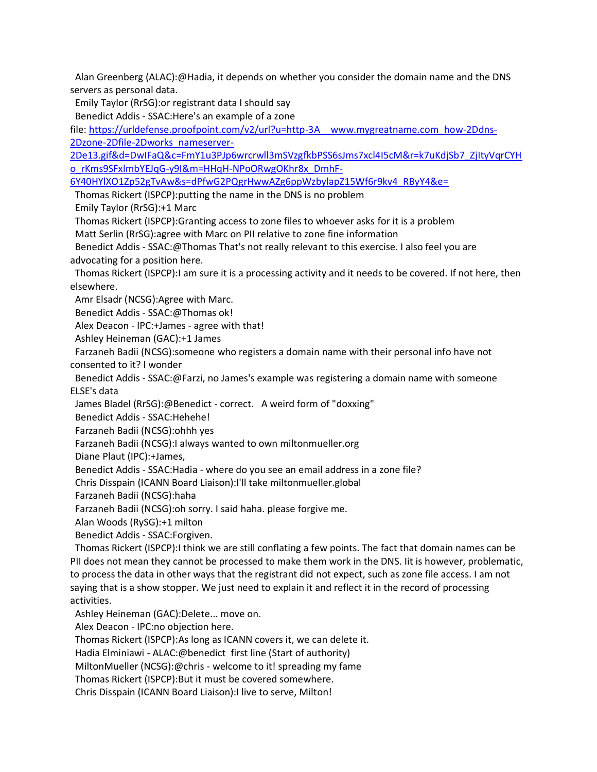Alan Greenberg (ALAC):@Hadia, it depends on whether you consider the domain name and the DNS servers as personal data.

Emily Taylor (RrSG):or registrant data I should say

Benedict Addis - SSAC:Here's an example of a zone

file: [https://urldefense.proofpoint.com/v2/url?u=http-3A\\_\\_www.mygreatname.com\\_how-2Ddns-](https://urldefense.proofpoint.com/v2/url?u=http-3A__www.mygreatname.com_how-2Ddns-2Dzone-2Dfile-2Dworks_nameserver-2De13.gif&d=DwIFaQ&c=FmY1u3PJp6wrcrwll3mSVzgfkbPSS6sJms7xcl4I5cM&r=k7uKdjSb7_ZjItyVqrCYHo_rKms9SFxlmbYEJqG-y9I&m=HHqH-NPoORwgOKhr8x_DmhF-6Y40HYlXO1Zp52gTvAw&s=dPfwG2PQgrHwwAZg6ppWzbylapZ15Wf6r9kv4_RByY4&e=)[2Dzone-2Dfile-2Dworks\\_nameserver-](https://urldefense.proofpoint.com/v2/url?u=http-3A__www.mygreatname.com_how-2Ddns-2Dzone-2Dfile-2Dworks_nameserver-2De13.gif&d=DwIFaQ&c=FmY1u3PJp6wrcrwll3mSVzgfkbPSS6sJms7xcl4I5cM&r=k7uKdjSb7_ZjItyVqrCYHo_rKms9SFxlmbYEJqG-y9I&m=HHqH-NPoORwgOKhr8x_DmhF-6Y40HYlXO1Zp52gTvAw&s=dPfwG2PQgrHwwAZg6ppWzbylapZ15Wf6r9kv4_RByY4&e=)

[2De13.gif&d=DwIFaQ&c=FmY1u3PJp6wrcrwll3mSVzgfkbPSS6sJms7xcl4I5cM&r=k7uKdjSb7\\_ZjItyVqrCYH](https://urldefense.proofpoint.com/v2/url?u=http-3A__www.mygreatname.com_how-2Ddns-2Dzone-2Dfile-2Dworks_nameserver-2De13.gif&d=DwIFaQ&c=FmY1u3PJp6wrcrwll3mSVzgfkbPSS6sJms7xcl4I5cM&r=k7uKdjSb7_ZjItyVqrCYHo_rKms9SFxlmbYEJqG-y9I&m=HHqH-NPoORwgOKhr8x_DmhF-6Y40HYlXO1Zp52gTvAw&s=dPfwG2PQgrHwwAZg6ppWzbylapZ15Wf6r9kv4_RByY4&e=) [o\\_rKms9SFxlmbYEJqG-y9I&m=HHqH-NPoORwgOKhr8x\\_DmhF-](https://urldefense.proofpoint.com/v2/url?u=http-3A__www.mygreatname.com_how-2Ddns-2Dzone-2Dfile-2Dworks_nameserver-2De13.gif&d=DwIFaQ&c=FmY1u3PJp6wrcrwll3mSVzgfkbPSS6sJms7xcl4I5cM&r=k7uKdjSb7_ZjItyVqrCYHo_rKms9SFxlmbYEJqG-y9I&m=HHqH-NPoORwgOKhr8x_DmhF-6Y40HYlXO1Zp52gTvAw&s=dPfwG2PQgrHwwAZg6ppWzbylapZ15Wf6r9kv4_RByY4&e=)

[6Y40HYlXO1Zp52gTvAw&s=dPfwG2PQgrHwwAZg6ppWzbylapZ15Wf6r9kv4\\_RByY4&e=](https://urldefense.proofpoint.com/v2/url?u=http-3A__www.mygreatname.com_how-2Ddns-2Dzone-2Dfile-2Dworks_nameserver-2De13.gif&d=DwIFaQ&c=FmY1u3PJp6wrcrwll3mSVzgfkbPSS6sJms7xcl4I5cM&r=k7uKdjSb7_ZjItyVqrCYHo_rKms9SFxlmbYEJqG-y9I&m=HHqH-NPoORwgOKhr8x_DmhF-6Y40HYlXO1Zp52gTvAw&s=dPfwG2PQgrHwwAZg6ppWzbylapZ15Wf6r9kv4_RByY4&e=)

Thomas Rickert (ISPCP):putting the name in the DNS is no problem

Emily Taylor (RrSG):+1 Marc

Thomas Rickert (ISPCP):Granting access to zone files to whoever asks for it is a problem

Matt Serlin (RrSG):agree with Marc on PII relative to zone fine information

 Benedict Addis - SSAC:@Thomas That's not really relevant to this exercise. I also feel you are advocating for a position here.

 Thomas Rickert (ISPCP):I am sure it is a processing activity and it needs to be covered. If not here, then elsewhere.

Amr Elsadr (NCSG):Agree with Marc.

Benedict Addis - SSAC:@Thomas ok!

Alex Deacon - IPC:+James - agree with that!

Ashley Heineman (GAC):+1 James

 Farzaneh Badii (NCSG):someone who registers a domain name with their personal info have not consented to it? I wonder

 Benedict Addis - SSAC:@Farzi, no James's example was registering a domain name with someone ELSE's data

James Bladel (RrSG):@Benedict - correct. A weird form of "doxxing"

Benedict Addis - SSAC:Hehehe!

Farzaneh Badii (NCSG):ohhh yes

Farzaneh Badii (NCSG):I always wanted to own miltonmueller.org

Diane Plaut (IPC):+James,

Benedict Addis - SSAC:Hadia - where do you see an email address in a zone file?

Chris Disspain (ICANN Board Liaison):I'll take miltonmueller.global

Farzaneh Badii (NCSG):haha

Farzaneh Badii (NCSG):oh sorry. I said haha. please forgive me.

Alan Woods (RySG):+1 milton

Benedict Addis - SSAC:Forgiven.

 Thomas Rickert (ISPCP):I think we are still conflating a few points. The fact that domain names can be PII does not mean they cannot be processed to make them work in the DNS. Iit is however, problematic, to process the data in other ways that the registrant did not expect, such as zone file access. I am not saying that is a show stopper. We just need to explain it and reflect it in the record of processing activities.

Ashley Heineman (GAC):Delete... move on.

Alex Deacon - IPC:no objection here.

Thomas Rickert (ISPCP):As long as ICANN covers it, we can delete it.

Hadia Elminiawi - ALAC:@benedict first line (Start of authority)

MiltonMueller (NCSG):@chris - welcome to it! spreading my fame

Thomas Rickert (ISPCP):But it must be covered somewhere.

Chris Disspain (ICANN Board Liaison):I live to serve, Milton!